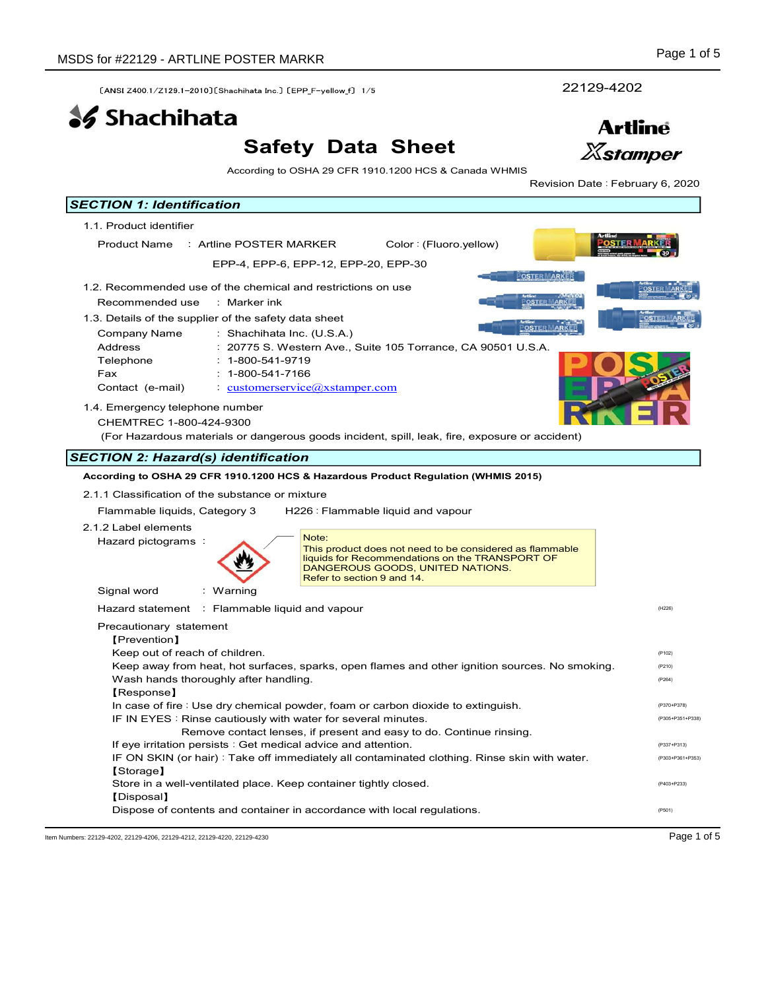# Safety Data Sheet



| SDS for #22129 - ARTLINE POSTER MARKR                                                                                                                                                                                                                                                                                                                                                                                                                                                                                              |                                                                                                                                                                                                                                                                                                                                                                                                                                                                                                   | Page 1 of 5                                                                  |
|------------------------------------------------------------------------------------------------------------------------------------------------------------------------------------------------------------------------------------------------------------------------------------------------------------------------------------------------------------------------------------------------------------------------------------------------------------------------------------------------------------------------------------|---------------------------------------------------------------------------------------------------------------------------------------------------------------------------------------------------------------------------------------------------------------------------------------------------------------------------------------------------------------------------------------------------------------------------------------------------------------------------------------------------|------------------------------------------------------------------------------|
| [ANSI Z400.1/Z129.1-2010] [Shachihata Inc.] [EPP_F-yellow f] 1/5                                                                                                                                                                                                                                                                                                                                                                                                                                                                   |                                                                                                                                                                                                                                                                                                                                                                                                                                                                                                   | 22129-4202                                                                   |
| <b>SS</b> Shachihata                                                                                                                                                                                                                                                                                                                                                                                                                                                                                                               |                                                                                                                                                                                                                                                                                                                                                                                                                                                                                                   | <b>Artline</b>                                                               |
|                                                                                                                                                                                                                                                                                                                                                                                                                                                                                                                                    | <b>Safety Data Sheet</b>                                                                                                                                                                                                                                                                                                                                                                                                                                                                          | <b>Xstamper</b>                                                              |
|                                                                                                                                                                                                                                                                                                                                                                                                                                                                                                                                    | According to OSHA 29 CFR 1910.1200 HCS & Canada WHMIS                                                                                                                                                                                                                                                                                                                                                                                                                                             | Revision Date: February 6, 2020                                              |
| <b>SECTION 1: Identification</b>                                                                                                                                                                                                                                                                                                                                                                                                                                                                                                   |                                                                                                                                                                                                                                                                                                                                                                                                                                                                                                   |                                                                              |
| 1.1. Product identifier                                                                                                                                                                                                                                                                                                                                                                                                                                                                                                            |                                                                                                                                                                                                                                                                                                                                                                                                                                                                                                   |                                                                              |
| Product Name : Artline POSTER MARKER                                                                                                                                                                                                                                                                                                                                                                                                                                                                                               | Color: (Fluoro.yellow)<br>EPP-4, EPP-6, EPP-12, EPP-20, EPP-30                                                                                                                                                                                                                                                                                                                                                                                                                                    |                                                                              |
|                                                                                                                                                                                                                                                                                                                                                                                                                                                                                                                                    |                                                                                                                                                                                                                                                                                                                                                                                                                                                                                                   | <b>POSTER MARKER</b>                                                         |
| 1.2. Recommended use of the chemical and restrictions on use<br>Recommended use<br>: Marker ink<br>1.3. Details of the supplier of the safety data sheet<br>Company Name<br>Address<br>Telephone<br>$: 1 - 800 - 541 - 9719$<br>$: 1 - 800 - 541 - 7166$<br>Fax<br>Contact (e-mail)<br>1.4. Emergency telephone number<br>CHEMTREC 1-800-424-9300<br><b>SECTION 2: Hazard(s) identification</b><br>2.1.1 Classification of the substance or mixture<br>Flammable liquids, Category 3<br>2.1.2 Label elements<br>Hazard pictograms: | : Shachihata Inc. (U.S.A.)<br>: 20775 S. Western Ave., Suite 105 Torrance, CA 90501 U.S.A.<br>$\cdot$ customerservice $\omega$ xstamper.com<br>(For Hazardous materials or dangerous goods incident, spill, leak, fire, exposure or accident)<br>According to OSHA 29 CFR 1910.1200 HCS & Hazardous Product Regulation (WHMIS 2015)<br>H226 : Flammable liquid and vapour<br>Note:<br>This product does not need to be considered as flammable<br>liquids for Recommendations on the TRANSPORT OF | <b>OSTER ARKER</b><br><u>POSTER MARK</u> I                                   |
| Signal word<br>: Warning                                                                                                                                                                                                                                                                                                                                                                                                                                                                                                           | DANGEROUS GOODS, UNITED NATIONS.<br>Refer to section 9 and 14.                                                                                                                                                                                                                                                                                                                                                                                                                                    |                                                                              |
| Hazard statement : Flammable liquid and vapour                                                                                                                                                                                                                                                                                                                                                                                                                                                                                     |                                                                                                                                                                                                                                                                                                                                                                                                                                                                                                   | (H226)                                                                       |
| Precautionary statement<br>[Prevention]<br>Keep out of reach of children.<br>Wash hands thoroughly after handling.<br>[Response]<br>If eye irritation persists : Get medical advice and attention.                                                                                                                                                                                                                                                                                                                                 | Keep away from heat, hot surfaces, sparks, open flames and other ignition sources. No smoking.<br>In case of fire : Use dry chemical powder, foam or carbon dioxide to extinguish.<br>IF IN EYES : Rinse cautiously with water for several minutes.<br>Remove contact lenses, if present and easy to do. Continue rinsing.                                                                                                                                                                        | (P102)<br>(P210)<br>(P264)<br>(P370+P378)<br>(P305+P351+P338)<br>(P337+P313) |
| [Storage]<br>[Disposal]                                                                                                                                                                                                                                                                                                                                                                                                                                                                                                            | IF ON SKIN (or hair): Take off immediately all contaminated clothing. Rinse skin with water.<br>Store in a well-ventilated place. Keep container tightly closed.                                                                                                                                                                                                                                                                                                                                  | (P303+P361+P353)<br>(P403+P233)                                              |
|                                                                                                                                                                                                                                                                                                                                                                                                                                                                                                                                    | Dispose of contents and container in accordance with local regulations.                                                                                                                                                                                                                                                                                                                                                                                                                           |                                                                              |

Item Numbers: 22129-4202, 22129-4206, 22129-4212, 22129-4220, 22129-4230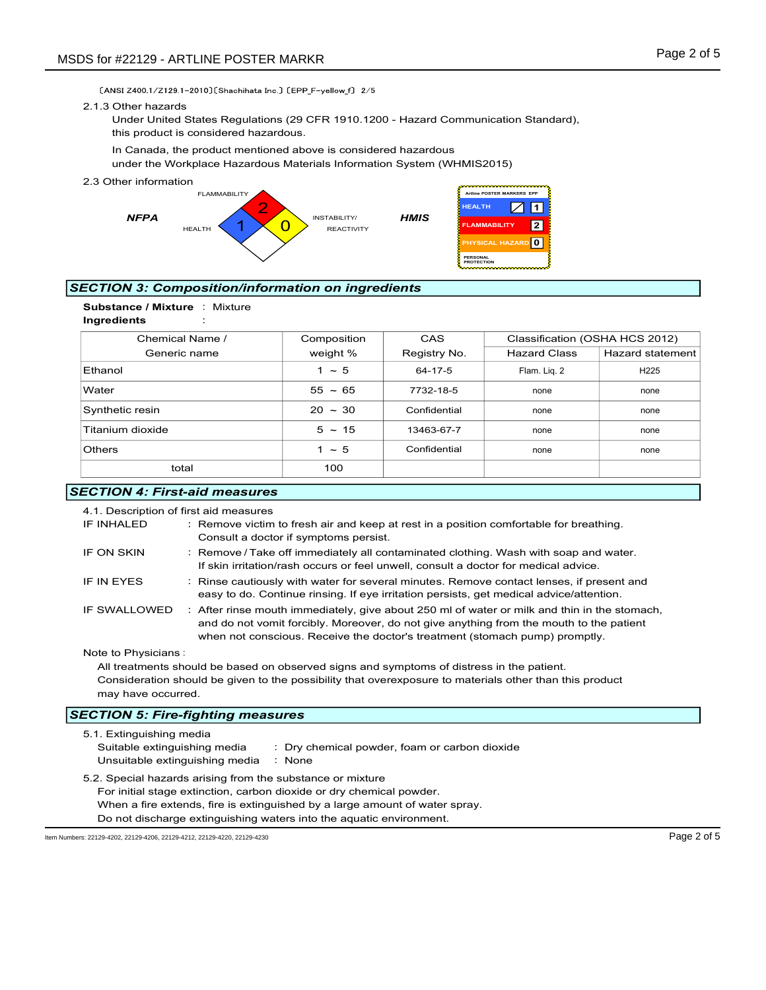#### 2.1.3 Other hazards



## SECTION 3: Composition/information on ingredients



| DS for #22129 - ARTLINE POSTER MARKR                                                                                                                                                                                    |                                                                                                                                                                                                                                                                                                                |                                                        |                                                                                                                   | Page 2 of 5             |
|-------------------------------------------------------------------------------------------------------------------------------------------------------------------------------------------------------------------------|----------------------------------------------------------------------------------------------------------------------------------------------------------------------------------------------------------------------------------------------------------------------------------------------------------------|--------------------------------------------------------|-------------------------------------------------------------------------------------------------------------------|-------------------------|
| [ANSI Z400 1/Z129 1-2010] [Shachihata Inc ] [EPP F-yellow f] 2/5<br>2.1.3 Other hazards<br>Under United States Regulations (29 CFR 1910.1200 - Hazard Communication Standard),<br>this product is considered hazardous. |                                                                                                                                                                                                                                                                                                                |                                                        |                                                                                                                   |                         |
| In Canada, the product mentioned above is considered hazardous<br>under the Workplace Hazardous Materials Information System (WHMIS2015)                                                                                |                                                                                                                                                                                                                                                                                                                |                                                        |                                                                                                                   |                         |
| 2.3 Other information<br><b>FLAMMABILITY</b><br><b>NFPA</b><br><b>HEALTH</b>                                                                                                                                            | INSTABILITY/<br><b>REACTIVITY</b>                                                                                                                                                                                                                                                                              | <b>HEALTH</b><br><b>HMIS</b><br>PERSONAL<br>PROTECTION | Artline POSTER MARKERS EPP<br>$\vert$ 1 $\vert$<br>$\boxtimes$<br> 2 <br><b>FLAMMABILITY</b><br>PHYSICAL HAZARD 0 |                         |
| <b>SECTION 3: Composition/information on ingredients</b>                                                                                                                                                                |                                                                                                                                                                                                                                                                                                                |                                                        |                                                                                                                   |                         |
| Substance / Mixture : Mixture<br>Ingredients                                                                                                                                                                            |                                                                                                                                                                                                                                                                                                                |                                                        |                                                                                                                   |                         |
| Chemical Name /                                                                                                                                                                                                         | Composition                                                                                                                                                                                                                                                                                                    | CAS                                                    | Classification (OSHA HCS 2012)                                                                                    |                         |
| Generic name                                                                                                                                                                                                            | weight %                                                                                                                                                                                                                                                                                                       | Registry No.                                           | <b>Hazard Class</b>                                                                                               | <b>Hazard statement</b> |
| Ethanol                                                                                                                                                                                                                 | $1 \sim 5$                                                                                                                                                                                                                                                                                                     | 64-17-5                                                | Flam. Liq. 2                                                                                                      | H225                    |
| Water                                                                                                                                                                                                                   | $55 - 65$                                                                                                                                                                                                                                                                                                      | 7732-18-5                                              | none                                                                                                              | none                    |
| Synthetic resin                                                                                                                                                                                                         | $20 \sim 30$                                                                                                                                                                                                                                                                                                   | Confidential                                           | none                                                                                                              | none                    |
| Titanium dioxide                                                                                                                                                                                                        | $5 \sim 15$                                                                                                                                                                                                                                                                                                    | 13463-67-7                                             | none                                                                                                              | none                    |
| Others                                                                                                                                                                                                                  | $1 \sim 5$                                                                                                                                                                                                                                                                                                     | Confidential                                           | none                                                                                                              | none                    |
| total                                                                                                                                                                                                                   | 100                                                                                                                                                                                                                                                                                                            |                                                        |                                                                                                                   |                         |
| <b>SECTION 4: First-aid measures</b>                                                                                                                                                                                    |                                                                                                                                                                                                                                                                                                                |                                                        |                                                                                                                   |                         |
| 4.1. Description of first aid measures<br>IF INHALED<br>IF ON SKIN                                                                                                                                                      | : Remove victim to fresh air and keep at rest in a position comfortable for breathing.<br>Consult a doctor if symptoms persist.<br>: Remove / Take off immediately all contaminated clothing. Wash with soap and water.<br>If skin irritation/rash occurs or feel unwell, consult a doctor for medical advice. |                                                        |                                                                                                                   |                         |
| IF IN EYES                                                                                                                                                                                                              | : Rinse cautiously with water for several minutes. Remove contact lenses, if present and<br>easy to do. Continue rinsing. If eye irritation persists, get medical advice/attention.                                                                                                                            |                                                        |                                                                                                                   |                         |
| IF SWALLOWED                                                                                                                                                                                                            | : After rinse mouth immediately, give about 250 ml of water or milk and thin in the stomach,<br>and do not vomit forcibly. Moreover, do not give anything from the mouth to the patient                                                                                                                        |                                                        |                                                                                                                   |                         |

## **SECTION 4: First-aid measures**

|                                                                                                                               | 4.1. Description of first aid measures                                                     |                                                                                                                                                                                                                                                                        |  |
|-------------------------------------------------------------------------------------------------------------------------------|--------------------------------------------------------------------------------------------|------------------------------------------------------------------------------------------------------------------------------------------------------------------------------------------------------------------------------------------------------------------------|--|
|                                                                                                                               | IF INHALED                                                                                 | : Remove victim to fresh air and keep at rest in a position comfortable for breathing.<br>Consult a doctor if symptoms persist.                                                                                                                                        |  |
|                                                                                                                               | IF ON SKIN                                                                                 | : Remove / Take off immediately all contaminated clothing. Wash with soap and water.<br>If skin irritation/rash occurs or feel unwell, consult a doctor for medical advice.                                                                                            |  |
|                                                                                                                               | IF IN EYES                                                                                 | : Rinse cautiously with water for several minutes. Remove contact lenses, if present and<br>easy to do. Continue rinsing. If eye irritation persists, get medical advice/attention.                                                                                    |  |
|                                                                                                                               | IF SWALLOWED                                                                               | : After rinse mouth immediately, give about 250 ml of water or milk and thin in the stomach,<br>and do not vomit forcibly. Moreover, do not give anything from the mouth to the patient<br>when not conscious. Receive the doctor's treatment (stomach pump) promptly. |  |
|                                                                                                                               | Note to Physicians:                                                                        |                                                                                                                                                                                                                                                                        |  |
| All treatments should be based on observed signs and symptoms of distress in the patient.                                     |                                                                                            |                                                                                                                                                                                                                                                                        |  |
| Consideration should be given to the possibility that overexposure to materials other than this product<br>may have occurred. |                                                                                            |                                                                                                                                                                                                                                                                        |  |
| <b>SECTION 5: Fire-fighting measures</b>                                                                                      |                                                                                            |                                                                                                                                                                                                                                                                        |  |
|                                                                                                                               | 5.1. Extinguishing media<br>Suitable extinguishing media<br>Unsuitable extinguishing media | : Dry chemical powder, foam or carbon dioxide<br>: None                                                                                                                                                                                                                |  |
|                                                                                                                               |                                                                                            |                                                                                                                                                                                                                                                                        |  |

5.2. Special hazards arising from the substance or mixture For initial stage extinction, carbon dioxide or dry chemical powder. When a fire extends, fire is extinguished by a large amount of water spray. Do not discharge extinguishing waters into the aquatic environment.

Item Numbers: 22129-4202, 22129-4206, 22129-4212, 22129-4220, 22129-4230 Page 2 of 5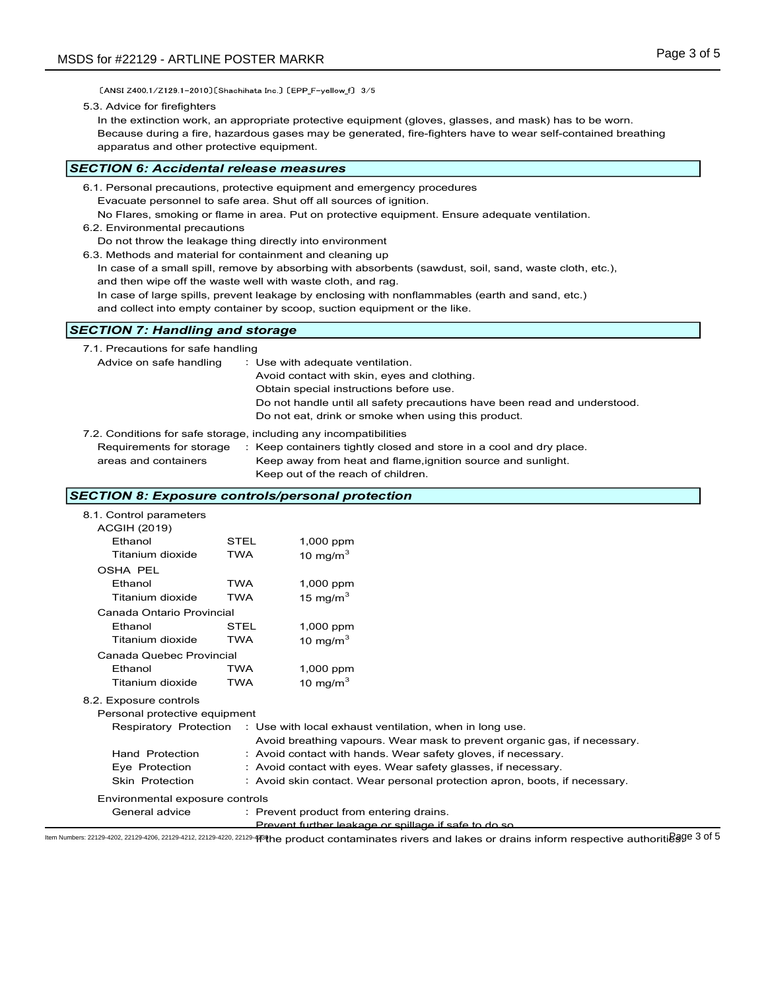[ANSI Z400.1/Z129.1-2010] [Shachihata Inc.] [EPP\_F-yellow\_f] 3/5

#### 5.3. Advice for firefighters

In the extinction work, an appropriate protective equipment (gloves, glasses, and mask) has to be worn. Because during a fire, hazardous gases may be generated, fire-fighters have to wear self-contained breathing apparatus and other protective equipment.

#### SECTION 6: Accidental release measures

- 6.2. Environmental precautions
- Do not throw the leakage thing directly into environment
- 6.3. Methods and material for containment and cleaning up
	- In case of a small spill, remove by absorbing with absorbents (sawdust, soil, sand, waste cloth, etc.), and then wipe off the waste well with waste cloth, and rag.
	- In case of large spills, prevent leakage by enclosing with nonflammables (earth and sand, etc.)

## SECTION 7: Handling and storage

| apparatus and other protective equipment.                                                                                                                                                                                           |                           |                                                                                                                                                                                                                         | Because during a fire, nazardous gases may be generated, fire-fighters have to wear self-contained breathing                                                                                                                                                                                                 |  |
|-------------------------------------------------------------------------------------------------------------------------------------------------------------------------------------------------------------------------------------|---------------------------|-------------------------------------------------------------------------------------------------------------------------------------------------------------------------------------------------------------------------|--------------------------------------------------------------------------------------------------------------------------------------------------------------------------------------------------------------------------------------------------------------------------------------------------------------|--|
| ECTION 6: Accidental release measures                                                                                                                                                                                               |                           |                                                                                                                                                                                                                         |                                                                                                                                                                                                                                                                                                              |  |
| 6.1. Personal precautions, protective equipment and emergency procedures<br>6.2. Environmental precautions<br>Do not throw the leakage thing directly into environment<br>6.3. Methods and material for containment and cleaning up |                           | Evacuate personnel to safe area. Shut off all sources of ignition.<br>and then wipe off the waste well with waste cloth, and rag.<br>and collect into empty container by scoop, suction equipment or the like.          | No Flares, smoking or flame in area. Put on protective equipment. Ensure adequate ventilation.<br>In case of a small spill, remove by absorbing with absorbents (sawdust, soil, sand, waste cloth, etc.),<br>In case of large spills, prevent leakage by enclosing with nonflammables (earth and sand, etc.) |  |
| <b>ECTION 7: Handling and storage</b>                                                                                                                                                                                               |                           |                                                                                                                                                                                                                         |                                                                                                                                                                                                                                                                                                              |  |
| 7.1. Precautions for safe handling<br>Advice on safe handling<br>7.2. Conditions for safe storage, including any incompatibilities<br>Requirements for storage<br>areas and containers                                              |                           | : Use with adequate ventilation.<br>Avoid contact with skin, eyes and clothing.<br>Obtain special instructions before use.<br>Do not eat, drink or smoke when using this product.<br>Keep out of the reach of children. | Do not handle until all safety precautions have been read and understood.<br>: Keep containers tightly closed and store in a cool and dry place.<br>Keep away from heat and flame, ignition source and sunlight.                                                                                             |  |
| ECTION 8: Exposure controls/personal protection                                                                                                                                                                                     |                           |                                                                                                                                                                                                                         |                                                                                                                                                                                                                                                                                                              |  |
| 8.1. Control parameters<br><b>ACGIH (2019)</b><br>Ethanol<br>Titanium dioxide                                                                                                                                                       | <b>STEL</b><br><b>TWA</b> | 1,000 ppm<br>10 mg/m $3$                                                                                                                                                                                                |                                                                                                                                                                                                                                                                                                              |  |
| <b>OSHA PEL</b><br>Ethanol<br>Titanium dioxide                                                                                                                                                                                      | <b>TWA</b><br><b>TWA</b>  | 1,000 ppm<br>15 mg/m $3$                                                                                                                                                                                                |                                                                                                                                                                                                                                                                                                              |  |
| Canada Ontario Provincial<br>Ethanol                                                                                                                                                                                                | STEL                      | 1,000 ppm                                                                                                                                                                                                               |                                                                                                                                                                                                                                                                                                              |  |

### SECTION 8: Exposure controls/personal protection

| o.s. ivienious and material for containment and clearing up                                     |            | In case of a small spill, remove by absorbing with absorbents (sawdust, soil, sand, waste cloth, etc.),<br>and then wipe off the waste well with waste cloth, and rag. |  |
|-------------------------------------------------------------------------------------------------|------------|------------------------------------------------------------------------------------------------------------------------------------------------------------------------|--|
| In case of large spills, prevent leakage by enclosing with nonflammables (earth and sand, etc.) |            |                                                                                                                                                                        |  |
|                                                                                                 |            | and collect into empty container by scoop, suction equipment or the like.                                                                                              |  |
| <b>SECTION 7: Handling and storage</b>                                                          |            |                                                                                                                                                                        |  |
| 7.1. Precautions for safe handling                                                              |            |                                                                                                                                                                        |  |
| Advice on safe handling                                                                         |            | : Use with adequate ventilation.                                                                                                                                       |  |
|                                                                                                 |            | Avoid contact with skin, eyes and clothing.                                                                                                                            |  |
|                                                                                                 |            | Obtain special instructions before use.                                                                                                                                |  |
|                                                                                                 |            | Do not handle until all safety precautions have been read and understood.<br>Do not eat, drink or smoke when using this product.                                       |  |
|                                                                                                 |            |                                                                                                                                                                        |  |
|                                                                                                 |            | 7.2. Conditions for safe storage, including any incompatibilities                                                                                                      |  |
| Requirements for storage<br>areas and containers                                                |            | : Keep containers tightly closed and store in a cool and dry place.<br>Keep away from heat and flame, ignition source and sunlight.                                    |  |
|                                                                                                 |            | Keep out of the reach of children.                                                                                                                                     |  |
|                                                                                                 |            |                                                                                                                                                                        |  |
| <b>SECTION 8: Exposure controls/personal protection</b>                                         |            |                                                                                                                                                                        |  |
| 8.1. Control parameters                                                                         |            |                                                                                                                                                                        |  |
| <b>ACGIH (2019)</b><br>Ethanol                                                                  | STEL       |                                                                                                                                                                        |  |
| Titanium dioxide                                                                                | <b>TWA</b> | 1,000 ppm<br>10 mg/m $3$                                                                                                                                               |  |
| <b>OSHA PEL</b>                                                                                 |            |                                                                                                                                                                        |  |
| Ethanol                                                                                         | <b>TWA</b> | 1,000 ppm                                                                                                                                                              |  |
| Titanium dioxide                                                                                | <b>TWA</b> | 15 mg/m $^3$                                                                                                                                                           |  |
| Canada Ontario Provincial                                                                       |            |                                                                                                                                                                        |  |
| Ethanol                                                                                         | STEL       | 1,000 ppm                                                                                                                                                              |  |
| Titanium dioxide                                                                                | <b>TWA</b> | 10 mg/m $^3$                                                                                                                                                           |  |
| Canada Quebec Provincial                                                                        |            |                                                                                                                                                                        |  |
| Ethanol                                                                                         | <b>TWA</b> | 1,000 ppm                                                                                                                                                              |  |
| Titanium dioxide                                                                                | <b>TWA</b> | 10 mg/m $^3$                                                                                                                                                           |  |
| 8.2. Exposure controls                                                                          |            |                                                                                                                                                                        |  |
| Personal protective equipment                                                                   |            |                                                                                                                                                                        |  |
| Respiratory Protection                                                                          |            | : Use with local exhaust ventilation, when in long use.                                                                                                                |  |
|                                                                                                 |            | Avoid breathing vapours. Wear mask to prevent organic gas, if necessary.                                                                                               |  |
| Hand Protection                                                                                 |            | : Avoid contact with hands. Wear safety gloves, if necessary.                                                                                                          |  |
| Eye Protection                                                                                  |            | : Avoid contact with eyes. Wear safety glasses, if necessary.                                                                                                          |  |
| Skin Protection                                                                                 |            | : Avoid skin contact. Wear personal protection apron, boots, if necessary.                                                                                             |  |
| Environmental exposure controls                                                                 |            |                                                                                                                                                                        |  |
| General advice                                                                                  |            | : Prevent product from entering drains.                                                                                                                                |  |
|                                                                                                 |            | Prevent further leakage or spillage if safe to do so                                                                                                                   |  |

ltem Numbers: 22129-4202, 22129-4206, 22129-4212, 22129-4220, 22129-4320, 22129-4320 he product contaminates rivers and lakes or drains inform respective authoritidage 3 of 5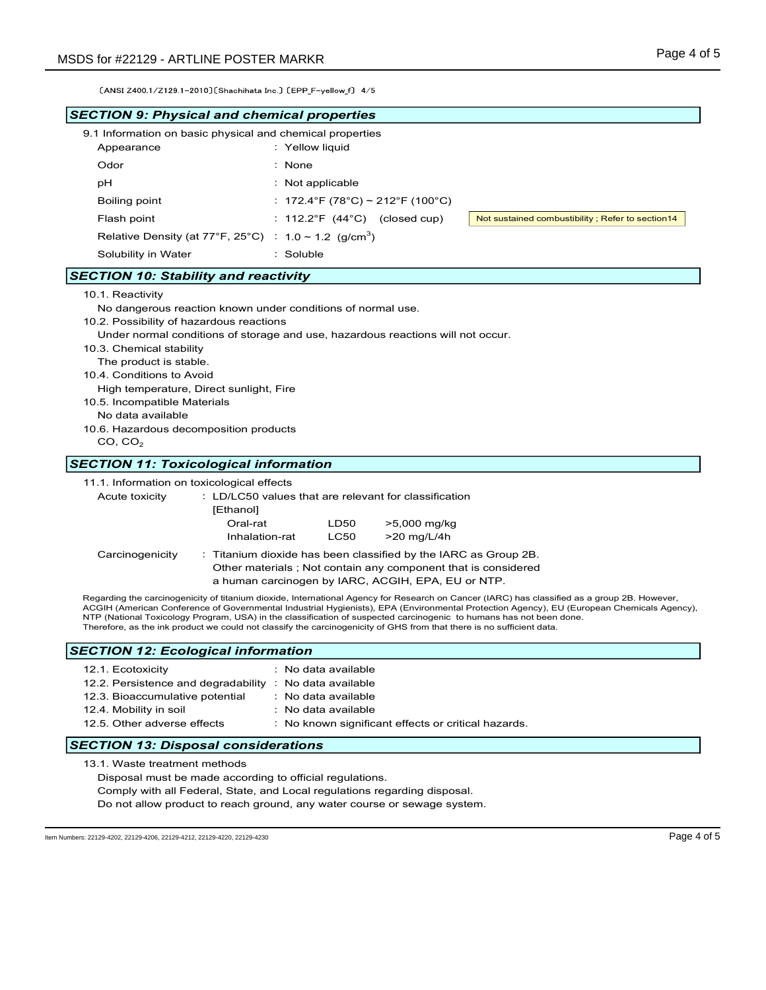| [ANSI Z400 1/Z129 1-2010] [Shachihata Inc.] [EPP_F-yellow_f] 4/5<br><b>SECTION 9: Physical and chemical properties</b>     |                                                                                                                                                                                                                                                                                                        |                                                                                                                                                                                                                                                                                           |
|----------------------------------------------------------------------------------------------------------------------------|--------------------------------------------------------------------------------------------------------------------------------------------------------------------------------------------------------------------------------------------------------------------------------------------------------|-------------------------------------------------------------------------------------------------------------------------------------------------------------------------------------------------------------------------------------------------------------------------------------------|
|                                                                                                                            |                                                                                                                                                                                                                                                                                                        |                                                                                                                                                                                                                                                                                           |
|                                                                                                                            |                                                                                                                                                                                                                                                                                                        |                                                                                                                                                                                                                                                                                           |
| 9.1 Information on basic physical and chemical properties<br>Appearance                                                    | : Yellow liquid                                                                                                                                                                                                                                                                                        |                                                                                                                                                                                                                                                                                           |
| Odor                                                                                                                       | $:$ None                                                                                                                                                                                                                                                                                               |                                                                                                                                                                                                                                                                                           |
| рH                                                                                                                         | : Not applicable                                                                                                                                                                                                                                                                                       |                                                                                                                                                                                                                                                                                           |
| Boiling point                                                                                                              | : 172.4°F (78°C) ~ 212°F (100°C)                                                                                                                                                                                                                                                                       |                                                                                                                                                                                                                                                                                           |
| Flash point                                                                                                                | : $112.2^{\circ}F$ (44 $^{\circ}C$ ) (closed cup)                                                                                                                                                                                                                                                      | Not sustained combustibility; Refer to section14                                                                                                                                                                                                                                          |
| Relative Density (at 77°F, 25°C) : $1.0 \sim 1.2$ (g/cm <sup>3</sup> )                                                     |                                                                                                                                                                                                                                                                                                        |                                                                                                                                                                                                                                                                                           |
| Solubility in Water                                                                                                        | : Soluble                                                                                                                                                                                                                                                                                              |                                                                                                                                                                                                                                                                                           |
| <b>SECTION 10: Stability and reactivity</b>                                                                                |                                                                                                                                                                                                                                                                                                        |                                                                                                                                                                                                                                                                                           |
| 10.5. Incompatible Materials<br>No data available<br>10.6. Hazardous decomposition products<br>CO, CO <sub>2</sub>         |                                                                                                                                                                                                                                                                                                        |                                                                                                                                                                                                                                                                                           |
| <b>SECTION 11: Toxicological information</b>                                                                               |                                                                                                                                                                                                                                                                                                        |                                                                                                                                                                                                                                                                                           |
| 11.1. Information on toxicological effects<br>Acute toxicity<br>[Ethanol]<br>Oral-rat<br>Inhalation-rat<br>Carcinogenicity | : LD/LC50 values that are relevant for classification<br>>5,000 mg/kg<br>LD50<br><b>LC50</b><br>>20 mg/L/4h<br>: Titanium dioxide has been classified by the IARC as Group 2B.<br>Other materials ; Not contain any component that is considered<br>a human carcinogen by IARC, ACGIH, EPA, EU or NTP. |                                                                                                                                                                                                                                                                                           |
|                                                                                                                            | NTP (National Toxicology Program, USA) in the classification of suspected carcinogenic to humans has not been done.<br>Therefore, as the ink product we could not classify the carcinogenicity of GHS from that there is no sufficient data.                                                           | Regarding the carcinogenicity of titanium dioxide, International Agency for Research on Cancer (IARC) has classified as a group 2B. However,<br>ACGIH (American Conference of Governmental Industrial Hygienists), EPA (Environmental Protection Agency), EU (European Chemicals Agency), |
| <b>SECTION 12: Ecological information</b>                                                                                  |                                                                                                                                                                                                                                                                                                        |                                                                                                                                                                                                                                                                                           |
| 12.1. Ecotoxicity<br>12.2. Persistence and degradability : No data available                                               | : No data available                                                                                                                                                                                                                                                                                    |                                                                                                                                                                                                                                                                                           |
| 12.3. Bioaccumulative potential<br>12.4. Mobility in soil<br>12.5. Other adverse effects                                   | : No data available<br>: No data available<br>: No known significant effects or critical hazards.                                                                                                                                                                                                      |                                                                                                                                                                                                                                                                                           |

Do not allow product to reach ground, any water course or sewage system.

Item Numbers: 22129-4202, 22129-4206, 22129-4212, 22129-4220, 22129-4230 Page 4 of 5